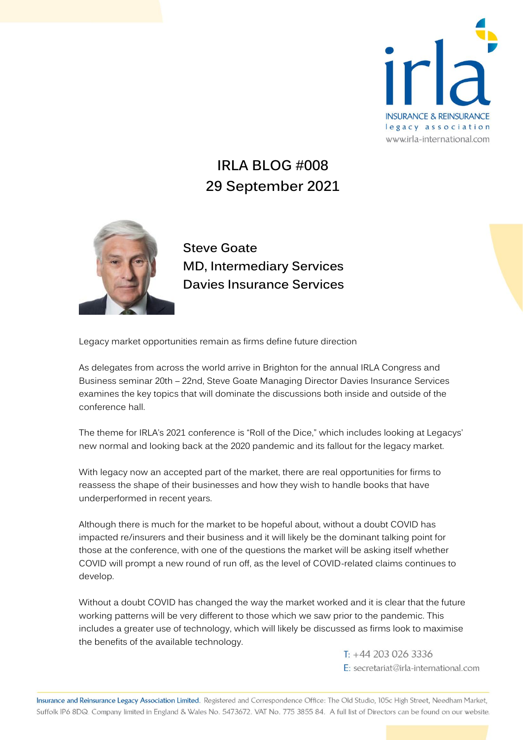

## **IRLA BLOG #008 29 September 2021**



**Steve Goate MD, Intermediary Services Davies Insurance Services** 

Legacy market opportunities remain as firms define future direction

As delegates from across the world arrive in Brighton for the annual IRLA Congress and Business seminar 20th – 22nd, Steve Goate Managing Director Davies Insurance Services examines the key topics that will dominate the discussions both inside and outside of the conference hall.

The theme for IRLA's 2021 conference is "Roll of the Dice," which includes looking at Legacys' new normal and looking back at the 2020 pandemic and its fallout for the legacy market.

With legacy now an accepted part of the market, there are real opportunities for firms to reassess the shape of their businesses and how they wish to handle books that have underperformed in recent years.

Although there is much for the market to be hopeful about, without a doubt COVID has impacted re/insurers and their business and it will likely be the dominant talking point for those at the conference, with one of the questions the market will be asking itself whether COVID will prompt a new round of run off, as the level of COVID-related claims continues to develop.

Without a doubt COVID has changed the way the market worked and it is clear that the future working patterns will be very different to those which we saw prior to the pandemic. This includes a greater use of technology, which will likely be discussed as firms look to maximise the benefits of the available technology.

> $T: +442030263336$ E: secretariat@irla-international.com

Insurance and Reinsurance Legacy Association Limited. Registered and Correspondence Office: The Old Studio, 105c High Street, Needham Market, Suffolk IP6 8DQ. Company limited in England & Wales No. 5473672. VAT No. 775 3855 84. A full list of Directors can be found on our website.